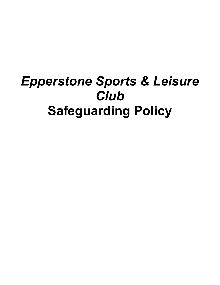# *Epperstone Sports & Leisure Club* **Safeguarding Policy**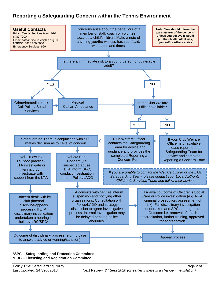# **Reporting a Safeguarding Concern within the Tennis Environment**



#### **\*SPC – Safeguarding and Protection Committee \*LRC – Licensing and Registration Committee**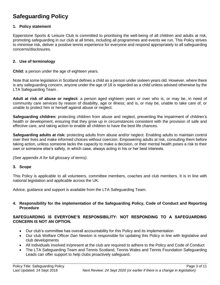# **Safeguarding Policy**

#### **1. Policy statement**

Epperstone Sports & Leisure Club is committed to prioritising the well-being of all children and adults at risk, promoting safeguarding in our club at all times, including all programmes and events we run. This Policy strives to minimise risk, deliver a positive tennis experience for everyone and respond appropriately to all safeguarding concerns/disclosures.

#### **2. Use of terminology**

**Child:** a person under the age of eighteen years.

Note that some legislation in Scotland defines a child as a person under sixteen years old. However, where there is any safeguarding concern, anyone under the age of 18 is regarded as a child unless advised otherwise by the LTA Safeguarding Team .

**Adult at risk of abuse or neglect:** a person aged eighteen years or over who is, or may be, in need of community care services by reason of disability, age or illness; and is, or may be, unable to take care of, or unable to protect him or herself against abuse or neglect.

**Safeguarding children:** protecting children from abuse and neglect, preventing the impairment of children's health or development, ensuring that they grow up in circumstances consistent with the provision of safe and effective care, and taking action to enable all children to have the best life chances.

**Safeguarding adults at risk:** protecting adults from abuse and/or neglect. Enabling adults to maintain control over their lives and make informed choices without coercion. Empowering adults at risk, consulting them before taking action, unless someone lacks the capacity to make a decision, or their mental health poses a risk to their own or someone else's safety, in which case, always acting in his or her best interests.

*(See appendix A for full glossary of terms)*.

#### **3. Scope**

This Policy is applicable to all volunteers, committee members, coaches and club members. It is in line with national legislation and applicable across the UK.

Advice, guidance and support is available from the LTA Safeguarding Team.

#### **4. Responsibility for the implementation of the Safeguarding Policy, Code of Conduct and Reporting Procedure**

#### **SAFEGUARDING IS EVERYONE'S RESPONSIBILITY: NOT RESPONDING TO A SAFEGUARDING CONCERN IS NOT AN OPTION.**

- Our club's committee has overall accountability for this Policy and its implementation
- Our club Welfare Officer *Dan Newton* is responsible for updating this Policy in line with legislative and club developments
- All individuals involved in/present at the club are required to adhere to the Policy and Code of Conduct
- The LTA Safeguarding Team and Tennis Scotland, Tennis Wales and Tennis Foundation Safeguarding Leads can offer support to help clubs proactively safeguard.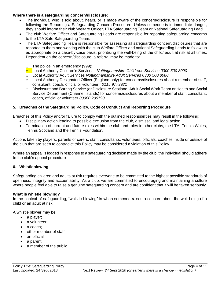#### **Where there is a safeguarding concern/disclosure:**

- The individual who is told about, hears, or is made aware of the concern/disclosure is responsible for following the Reporting a Safeguarding Concern Procedure. Unless someone is in immediate danger, they should inform their club Welfare Officer, LTA Safeguarding Team or National Safeguarding Lead.
- The club Welfare Officer and Safeguarding Leads are responsible for reporting safeguarding concerns to the LTA Safe Safeguarding Team.
- The LTA Safeguarding Team is responsible for assessing all safeguarding concern/disclosures that are reported to them and working with the club Welfare Officer and national Safeguarding Leads to follow up as appropriate on a case-by-case basis, prioritising the well-being of the child/ adult at risk at all times. Dependent on the concern/disclosure, a referral may be made to:
	- o The police in an emergency (999);
	- o Local Authority Children's Services *: Nottinghamshire Childrens Services 0300 500 8090*
	- o Local Authority Adult Services *Nottinghamshire Adult Services 0300 500 8080*
	- o Local Authority Designated Officer (England only) for concerns/disclosures about a member of staff, consultant, coach, official or volunteer *: 0115 9773921*
	- o Disclosure and Barring Service (or Disclosure Scotland; Adult Social Work Team or Health and Social Service Department (Channel Islands) for concerns/disclosures about a member of staff, consultant, coach, official or volunteer *03000 200190*

#### **5. Breaches of the Safeguarding Policy, Code of Conduct and Reporting Procedure**

Breaches of this Policy and/or failure to comply with the outlined responsibilities may result in the following:

- Disciplinary action leading to possible exclusion from the club, dismissal and legal action
- Termination of current and future roles within the club and roles in other clubs, the LTA, Tennis Wales, Tennis Scotland and the Tennis Foundation*.*

Actions taken by players, parents or carers, staff, consultants, volunteers, officials, coaches inside or outside of the club that are seen to contradict this Policy may be considered a violation of this Policy.

Where an appeal is lodged in response to a safeguarding decision made by the club, the individual should adhere to the club's appeal procedure

#### **6. Whistleblowing**

Safeguarding children and adults at risk requires everyone to be committed to the highest possible standards of openness, integrity and accountability. As a club, we are committed to encouraging and maintaining a culture where people feel able to raise a genuine safeguarding concern and are confident that it will be taken seriously.

#### **What is whistle blowing?**

In the context of safeguarding, "whistle blowing" is when someone raises a concern about the well-being of a child or an adult at risk.

A whistle blower may be:

- a player;
- a volunteer:
- a coach;
- other member of staff;
- an official:
- a parent;
- a member of the public.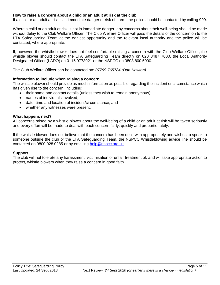#### **How to raise a concern about a child or an adult at risk at the club**

If a child or an adult at risk is in immediate danger or risk of harm, the police should be contacted by calling 999.

Where a child or an adult at risk is not in immediate danger, any concerns about their well-being should be made without delay to the Club Welfare Officer. The Club Welfare Officer will pass the details of the concern on to the LTA Safeguarding Team at the earliest opportunity and the relevant local authority and the police will be contacted, where appropriate.

If, however, the whistle blower does not feel comfortable raising a concern with the Club Welfare Officer, the whistle blower should contact the LTA Safeguarding Team directly on 020 8487 7000, the Local Authority Designated Officer (LADO) on 0115 9773921 or the NSPCC on 0808 800 5000.

The Club Welfare Officer can be contacted on: *07799 765784 (Dan Newton)*

#### **Information to include when raising a concern**

The whistle blower should provide as much information as possible regarding the incident or circumstance which has given rise to the concern, including:

- their name and contact details (unless they wish to remain anonymous);
	- names of individuals involved;
	- date, time and location of incident/circumstance; and
	- whether any witnesses were present.

#### **What happens next?**

All concerns raised by a whistle blower about the well-being of a child or an adult at risk will be taken seriously and every effort will be made to deal with each concern fairly, quickly and proportionately.

If the whistle blower does not believe that the concern has been dealt with appropriately and wishes to speak to someone outside the club or the LTA Safeguarding Team, the NSPCC Whistleblowing advice line should be contacted on 0800 028 0285 or by emailing [help@nspcc.org.uk.](mailto:help@nspcc.org.uk)

#### **Support**

The club will not tolerate any harassment, victimisation or unfair treatment of, and will take appropriate action to protect, whistle blowers when they raise a concern in good faith.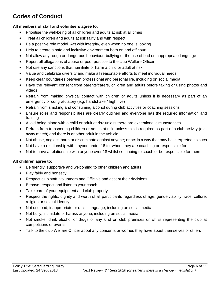# **Codes of Conduct**

#### **All members of staff and volunteers agree to:**

- Prioritise the well-being of all children and adults at risk at all times
- Treat all children and adults at risk fairly and with respect
- Be a positive role model. Act with integrity, even when no one is looking
- Help to create a safe and inclusive environment both on and off court
- Not allow any rough or dangerous behaviour, bullying or the use of bad or inappropriate language
- Report all allegations of abuse or poor practice to the club Welfare Officer
- Not use any sanctions that humiliate or harm a child or adult at risk
- Value and celebrate diversity and make all reasonable efforts to meet individual needs
- Keep clear boundaries between professional and personal life, including on social media
- Have the relevant consent from parents/carers, children and adults before taking or using photos and videos
- Refrain from making physical contact with children or adults unless it is necessary as part of an emergency or congratulatory (e.g. handshake / high five)
- Refrain from smoking and consuming alcohol during club activities or coaching sessions
- Ensure roles and responsibilities are clearly outlined and everyone has the required information and training
- Avoid being alone with a child or adult at risk unless there are exceptional circumstances
- Refrain from transporting children or adults at risk, unless this is required as part of a club activity (e.g. away match) and there is another adult in the vehicle
- Not abuse, neglect, harm or discriminate against anyone; or act in a way that may be interpreted as such
- Not have a relationship with anyone under 18 for whom they are coaching or responsible for
- Not to have a relationship with anyone over 18 whilst continuing to coach or be responsible for them

#### **All children agree to:**

- Be friendly, supportive and welcoming to other children and adults
- Play fairly and honestly
- Respect club staff, volunteers and Officials and accept their decisions
- Behave, respect and listen to your coach
- Take care of your equipment and club property
- Respect the rights, dignity and worth of all participants regardless of age, gender, ability, race, culture, religion or sexual identity
- Not use bad, inappropriate or racist language, including on social media
- Not bully, intimidate or harass anyone, including on social media
- Not smoke, drink alcohol or drugs of any kind on club premises or whilst representing the club at competitions or events
- Talk to the club Welfare Officer about any concerns or worries they have about themselves or others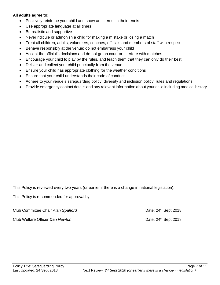#### **All adults agree to:**

- Positively reinforce your child and show an interest in their tennis
- Use appropriate language at all times
- Be realistic and supportive
- Never ridicule or admonish a child for making a mistake or losing a match
- Treat all children, adults, volunteers, coaches, officials and members of staff with respect
- Behave responsibly at the venue; do not embarrass your child
- Accept the official's decisions and do not go on court or interfere with matches
- Encourage your child to play by the rules, and teach them that they can only do their best
- Deliver and collect your child punctually from the venue
- Ensure your child has appropriate clothing for the weather conditions
- Ensure that your child understands their code of conduct
- Adhere to your venue's safeguarding policy, diversity and inclusion policy, rules and regulations
- Provide emergency contact details and any relevant information about your child including medical history

This Policy is reviewed every two years (or earlier if there is a change in national legislation).

This Policy is recommended for approval by:

Club Committee Chair *Alan Spafford* Date: 24<sup>th</sup> Sept 2018 Club Welfare Officer *Dan Newton* **Date:** 24<sup>th</sup> Sept 2018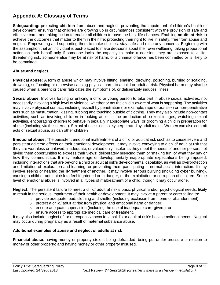# **Appendix A: Glossary of Terms**

**Safeguarding:** protecting **children** from abuse and neglect, preventing the impairment of children's health or development, ensuring that children are growing up in circumstances consistent with the provision of safe and effective care, and taking action to enable all children to have the best life chances. Enabling **adults at risk** to achieve the outcomes that matter to them in their life; protecting their right to live in safety, free from abuse and neglect. Empowering and supporting them to make choices, stay safe and raise any concerns. Beginning with the assumption that an individual is best-placed to make decisions about their own wellbeing, taking proportional action on their behalf only if someone lacks the capacity to make a decision, they are exposed to a lifethreatening risk, someone else may be at risk of harm, or a criminal offence has been committed or is likely to be committed.

#### **Abuse and neglect**

**Physical abuse:** A form of abuse which may involve hitting, shaking, throwing, poisoning, burning or scalding, drowning, suffocating or otherwise causing physical harm to a child or adult at risk. Physical harm may also be caused when a parent or carer fabricates the symptoms of, or deliberately induces illness

**Sexual abuse:** Involves forcing or enticing a child or young person to take part in abuse sexual activities, not necessarily involving a high level of violence, whether or not the child is aware of what is happening. The activities may involve physical contact, including assault by penetration (for example, rape or oral sex) or non-penetrative acts such as masturbation, kissing, rubbing and touching outside of clothing. They may also include non-contact activities, such as involving children in looking at, or in the production of, sexual images, watching sexual activities, encouraging children to behave in sexually inappropriate ways, or grooming a child in preparation for abuse (including via the internet). Sexual abuse is not solely perpetrated by adult males. Women can also commit acts of sexual abuse, as can other children

**Emotional abuse:** The persistent emotional maltreatment of a child or adult at risk such as to cause severe and persistent adverse effects on their emotional development. It may involve conveying to a child/ adult at risk that they are worthless or unloved, inadequate, or valued only insofar as they meet the needs of another person; not giving them opportunities to express their views; deliberately silencing them or 'making fun' of what they say or how they communicate. It may feature age or developmentally inappropriate expectations being imposed, including interactions that are beyond a child or adult at risk's developmental capability, as well as overprotection and limitation of exploration and learning, or preventing them participating in normal social interaction. It may involve seeing or hearing the ill-treatment of another. It may involve serious bullying (including cyber bullying), causing a child or adult at risk to feel frightened or in danger, or the exploitation or corruption of children. Some level of emotional abuse is involved in all types of maltreatment of a child, though it may occur alone.

**Neglect:** The persistent failure to meet a child/ adult at risk's basic physical and/or psychological needs, likely to result in the serious impairment of their health or development. It may involve a parent or carer failing to:

- $\circ$  provide adequate food, clothing and shelter (including exclusion from home or abandonment);
- $\circ$  protect a child/ adult at risk from physical and emotional harm or danger;
- $\circ$  ensure adequate supervision (including the use of inadequate care-givers); or
- o ensure access to appropriate medical care or treatment.

It may also include neglect of, or unresponsiveness to, a child's or adult at risk's basic emotional needs. Neglect may occur during pregnancy as a result of maternal substance abuse.

#### **Additional examples of abuse and neglect of adults at risk**

**Financial abuse**: having money or property stolen; being defrauded; being put under pressure in relation to money or other property; and having money or other property misused.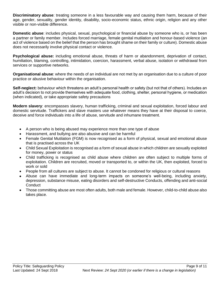**Discriminatory abuse**: treating someone in a less favourable way and causing them harm, because of their age, gender, sexuality, gender identity, disability, socio-economic status, ethnic origin, religion and any other visible or non-visible difference.

**Domestic abuse**: includes physical, sexual, psychological or financial abuse by someone who is, or has been a partner or family member. Includes forced marriage, female genital mutilation and honour-based violence (an act of violence based on the belief that the person has brought shame on their family or culture). Domestic abuse does not necessarily involve physical contact or violence.

**Psychological abuse:** including emotional abuse, threats of harm or abandonment, deprivation of contact, humiliation, blaming, controlling, intimidation, coercion, harassment, verbal abuse, isolation or withdrawal from services or supportive networks.

**Organisational abuse**: where the needs of an individual are not met by an organisation due to a culture of poor practice or abusive behaviour within the organisation.

**Self-neglect:** behaviour which threatens an adult's personal health or safety (but not that of others). Includes an adult's decision to not provide themselves with adequate food, clothing, shelter, personal hygiene, or medication (when indicated), or take appropriate safety precautions

**Modern slavery**: encompasses slavery, human trafficking, criminal and sexual exploitation, forced labour and domestic servitude. Traffickers and slave masters use whatever means they have at their disposal to coerce, deceive and force individuals into a life of abuse, servitude and inhumane treatment.

- A person who is being abused may experience more than one type of abuse
- Harassment, and bullying are also abusive and can be harmful
- Female Genital Mutilation (FGM) is now recognised as a form of physical, sexual and emotional abuse that is practised across the UK
- Child Sexual Exploitation is recognised as a form of sexual abuse in which children are sexually exploited for money, power or status
- Child trafficking is recognised as child abuse where children are often subject to multiple forms of exploitation. Children are recruited, moved or transported to, or within the UK, then exploited, forced to work or sold
- People from all cultures are subject to abuse. It cannot be condoned for religious or cultural reasons
- Abuse can have immediate and long-term impacts on someone's well-being, including anxiety, depression, substance misuse, eating disorders and self-destructive Conducts, offending and anti-social **Conduct**
- Those committing abuse are most often adults, both male and female. However, child-to-child abuse also takes place.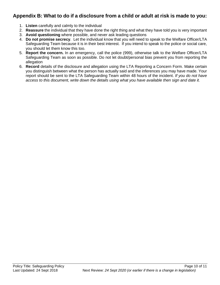### **Appendix B: What to do if a disclosure from a child or adult at risk is made to you:**

- 1. **Listen** carefully and calmly to the individual
- 2. **Reassure** the individual that they have done the right thing and what they have told you is very important
- 3. **Avoid questioning** where possible, and never ask leading questions
- 4. **Do not promise secrecy**. Let the individual know that you will need to speak to the Welfare Officer/LTA Safeguarding Team because it is in their best interest. If you intend to speak to the police or social care, you should let them know this too.
- 5. **Report the concern.** In an emergency, call the police (999), otherwise talk to the Welfare Officer/LTA Safeguarding Team as soon as possible. Do not let doubt/personal bias prevent you from reporting the allegation
- 6. **Record** details of the disclosure and allegation using the LTA Reporting a Concern Form*.* Make certain you distinguish between what the person has actually said and the inferences you may have made. Your report should be sent to the LTA Safeguarding Team within 48 hours of the incident. *If you do not have access to this document, write down the details using what you have available then sign and date it.*